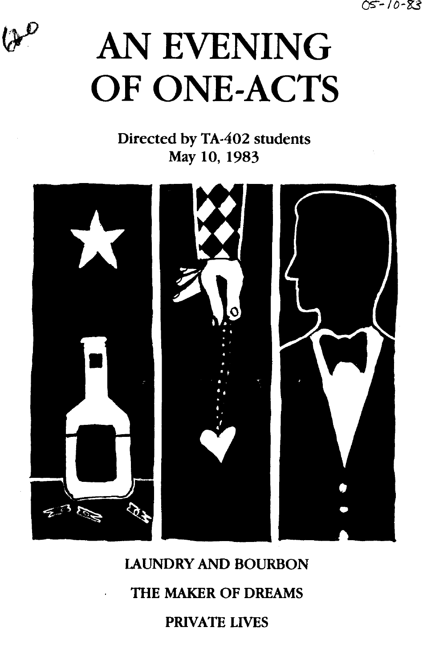o-:;--1 *o-'8:3* 



# AN EVENING OF ONE-ACTS

Directed by TA-402 students May 10, 1983



lAUNDRY AND BOURBON

THE MAKER OF DREAMS

PRIVATE LIVES